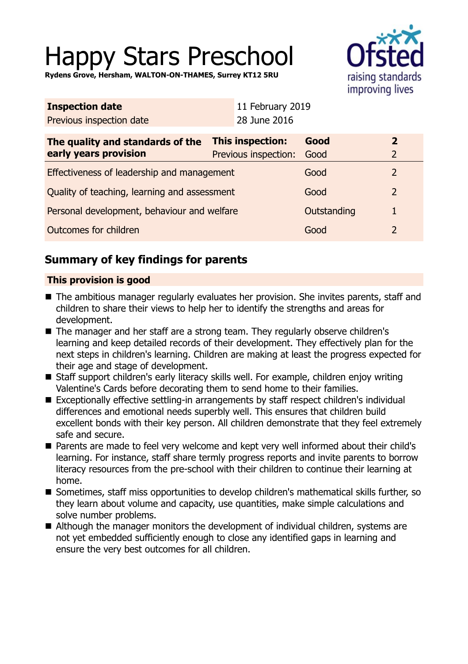# Happy Stars Preschool

**Rydens Grove, Hersham, WALTON-ON-THAMES, Surrey KT12 5RU**



| <b>Inspection date</b>                                    |                                               | 11 February 2019 |             |                |
|-----------------------------------------------------------|-----------------------------------------------|------------------|-------------|----------------|
| Previous inspection date                                  |                                               | 28 June 2016     |             |                |
| The quality and standards of the<br>early years provision | This inspection:<br>Previous inspection: Good |                  | Good        | 2<br>2         |
| Effectiveness of leadership and management                |                                               |                  | Good        | $\overline{2}$ |
| Quality of teaching, learning and assessment              |                                               |                  | Good        | $\overline{2}$ |
| Personal development, behaviour and welfare               |                                               |                  | Outstanding | $\mathbf{1}$   |
| Outcomes for children                                     |                                               |                  | Good        | 2              |
|                                                           |                                               |                  |             |                |

## **Summary of key findings for parents**

## **This provision is good**

- The ambitious manager regularly evaluates her provision. She invites parents, staff and children to share their views to help her to identify the strengths and areas for development.
- The manager and her staff are a strong team. They regularly observe children's learning and keep detailed records of their development. They effectively plan for the next steps in children's learning. Children are making at least the progress expected for their age and stage of development.
- Staff support children's early literacy skills well. For example, children enjoy writing Valentine's Cards before decorating them to send home to their families.
- Exceptionally effective settling-in arrangements by staff respect children's individual differences and emotional needs superbly well. This ensures that children build excellent bonds with their key person. All children demonstrate that they feel extremely safe and secure.
- Parents are made to feel very welcome and kept very well informed about their child's learning. For instance, staff share termly progress reports and invite parents to borrow literacy resources from the pre-school with their children to continue their learning at home.
- Sometimes, staff miss opportunities to develop children's mathematical skills further, so they learn about volume and capacity, use quantities, make simple calculations and solve number problems.
- $\blacksquare$  Although the manager monitors the development of individual children, systems are not yet embedded sufficiently enough to close any identified gaps in learning and ensure the very best outcomes for all children.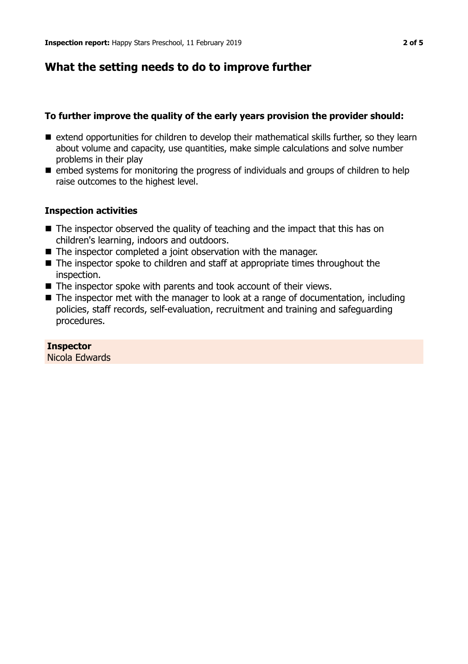## **What the setting needs to do to improve further**

## **To further improve the quality of the early years provision the provider should:**

- $\blacksquare$  extend opportunities for children to develop their mathematical skills further, so they learn about volume and capacity, use quantities, make simple calculations and solve number problems in their play
- $\blacksquare$  embed systems for monitoring the progress of individuals and groups of children to help raise outcomes to the highest level.

## **Inspection activities**

- $\blacksquare$  The inspector observed the quality of teaching and the impact that this has on children's learning, indoors and outdoors.
- $\blacksquare$  The inspector completed a joint observation with the manager.
- $\blacksquare$  The inspector spoke to children and staff at appropriate times throughout the inspection.
- $\blacksquare$  The inspector spoke with parents and took account of their views.
- $\blacksquare$  The inspector met with the manager to look at a range of documentation, including policies, staff records, self-evaluation, recruitment and training and safeguarding procedures.

## **Inspector**

Nicola Edwards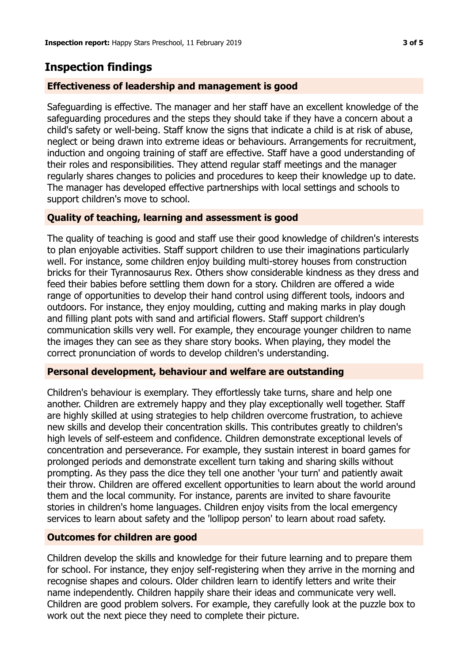## **Inspection findings**

#### **Effectiveness of leadership and management is good**

Safeguarding is effective. The manager and her staff have an excellent knowledge of the safeguarding procedures and the steps they should take if they have a concern about a child's safety or well-being. Staff know the signs that indicate a child is at risk of abuse, neglect or being drawn into extreme ideas or behaviours. Arrangements for recruitment, induction and ongoing training of staff are effective. Staff have a good understanding of their roles and responsibilities. They attend regular staff meetings and the manager regularly shares changes to policies and procedures to keep their knowledge up to date. The manager has developed effective partnerships with local settings and schools to support children's move to school.

## **Quality of teaching, learning and assessment is good**

The quality of teaching is good and staff use their good knowledge of children's interests to plan enjoyable activities. Staff support children to use their imaginations particularly well. For instance, some children enjoy building multi-storey houses from construction bricks for their Tyrannosaurus Rex. Others show considerable kindness as they dress and feed their babies before settling them down for a story. Children are offered a wide range of opportunities to develop their hand control using different tools, indoors and outdoors. For instance, they enjoy moulding, cutting and making marks in play dough and filling plant pots with sand and artificial flowers. Staff support children's communication skills very well. For example, they encourage younger children to name the images they can see as they share story books. When playing, they model the correct pronunciation of words to develop children's understanding.

#### **Personal development, behaviour and welfare are outstanding**

Children's behaviour is exemplary. They effortlessly take turns, share and help one another. Children are extremely happy and they play exceptionally well together. Staff are highly skilled at using strategies to help children overcome frustration, to achieve new skills and develop their concentration skills. This contributes greatly to children's high levels of self-esteem and confidence. Children demonstrate exceptional levels of concentration and perseverance. For example, they sustain interest in board games for prolonged periods and demonstrate excellent turn taking and sharing skills without prompting. As they pass the dice they tell one another 'your turn' and patiently await their throw. Children are offered excellent opportunities to learn about the world around them and the local community. For instance, parents are invited to share favourite stories in children's home languages. Children enjoy visits from the local emergency services to learn about safety and the 'lollipop person' to learn about road safety.

#### **Outcomes for children are good**

Children develop the skills and knowledge for their future learning and to prepare them for school. For instance, they enjoy self-registering when they arrive in the morning and recognise shapes and colours. Older children learn to identify letters and write their name independently. Children happily share their ideas and communicate very well. Children are good problem solvers. For example, they carefully look at the puzzle box to work out the next piece they need to complete their picture.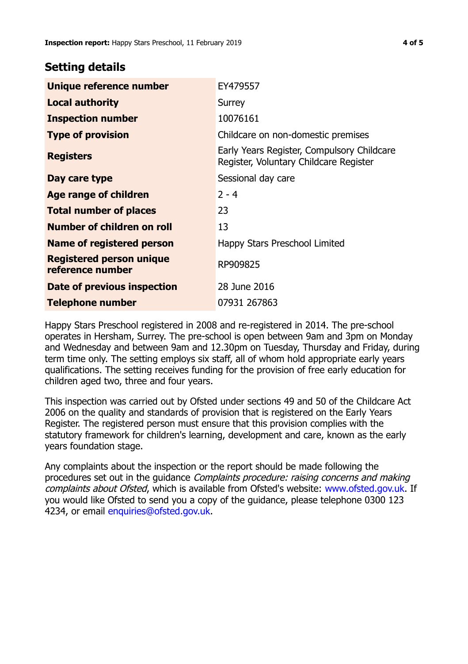## **Setting details**

| Unique reference number                             | EY479557                                                                             |  |
|-----------------------------------------------------|--------------------------------------------------------------------------------------|--|
| <b>Local authority</b>                              | Surrey                                                                               |  |
| <b>Inspection number</b>                            | 10076161                                                                             |  |
| <b>Type of provision</b>                            | Childcare on non-domestic premises                                                   |  |
| <b>Registers</b>                                    | Early Years Register, Compulsory Childcare<br>Register, Voluntary Childcare Register |  |
| Day care type                                       | Sessional day care                                                                   |  |
| Age range of children                               | $2 - 4$                                                                              |  |
| <b>Total number of places</b>                       | 23                                                                                   |  |
| Number of children on roll                          | 13                                                                                   |  |
| Name of registered person                           | Happy Stars Preschool Limited                                                        |  |
| <b>Registered person unique</b><br>reference number | RP909825                                                                             |  |
| Date of previous inspection                         | 28 June 2016                                                                         |  |
| <b>Telephone number</b>                             | 07931 267863                                                                         |  |

Happy Stars Preschool registered in 2008 and re-registered in 2014. The pre-school operates in Hersham, Surrey. The pre-school is open between 9am and 3pm on Monday and Wednesday and between 9am and 12.30pm on Tuesday, Thursday and Friday, during term time only. The setting employs six staff, all of whom hold appropriate early years qualifications. The setting receives funding for the provision of free early education for children aged two, three and four years.

This inspection was carried out by Ofsted under sections 49 and 50 of the Childcare Act 2006 on the quality and standards of provision that is registered on the Early Years Register. The registered person must ensure that this provision complies with the statutory framework for children's learning, development and care, known as the early years foundation stage.

Any complaints about the inspection or the report should be made following the procedures set out in the guidance Complaints procedure: raising concerns and making complaints about Ofsted, which is available from Ofsted's website: www.ofsted.gov.uk. If you would like Ofsted to send you a copy of the guidance, please telephone 0300 123 4234, or email [enquiries@ofsted.gov.uk.](mailto:enquiries@ofsted.gov.uk)